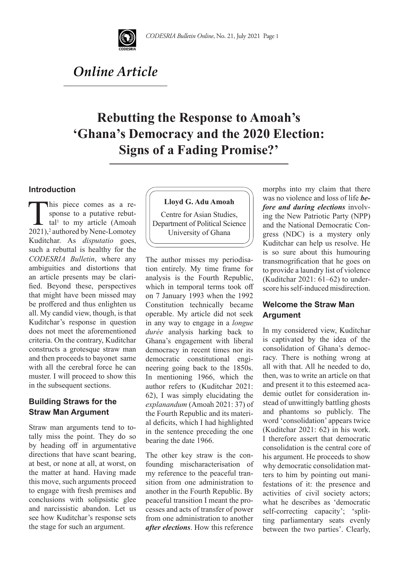

# *Online Article*

# **Rebutting the Response to Amoah's 'Ghana's Democracy and the 2020 Election: Signs of a Fading Promise?'**

### **Introduction**

This piece comes as a re-<br>sponse to a putative rebut-<br>tal<sup>1</sup> to my article (Amoah<br>2021)<sup>2</sup> authored by Nene-Lomotev sponse to a putative rebut $tal<sup>1</sup>$  to my article (Amoah 2021),<sup>2</sup> authored by Nene-Lomotey Kuditchar. As *disputatio* goes, such a rebuttal is healthy for the *CODESRIA Bulletin*, where any ambiguities and distortions that an article presents may be clarified. Beyond these, perspectives that might have been missed may be proffered and thus enlighten us all. My candid view, though, is that Kuditchar's response in question does not meet the aforementioned criteria. On the contrary, Kuditchar constructs a grotesque straw man and then proceeds to bayonet same with all the cerebral force he can muster. I will proceed to show this in the subsequent sections.

## **Building Straws for the Straw Man Argument**

Straw man arguments tend to totally miss the point. They do so by heading off in argumentative directions that have scant bearing, at best, or none at all, at worst, on the matter at hand. Having made this move, such arguments proceed to engage with fresh premises and conclusions with solipsistic glee and narcissistic abandon. Let us see how Kuditchar's response sets the stage for such an argument.



Centre for Asian Studies, Department of Political Science University of Ghana

The author misses my periodisation entirely. My time frame for analysis is the Fourth Republic, which in temporal terms took off on 7 January 1993 when the 1992 Constitution technically became operable. My article did not seek in any way to engage in a *longue durée* analysis harking back to Ghana's engagement with liberal democracy in recent times nor its democratic constitutional engineering going back to the 1850s. In mentioning 1966, which the author refers to (Kuditchar 2021: 62), I was simply elucidating the *explanandum* (Amoah 2021: 37) of the Fourth Republic and its material deficits, which I had highlighted in the sentence preceding the one bearing the date 1966.

The other key straw is the confounding mischaracterisation of my reference to the peaceful transition from one administration to another in the Fourth Republic. By peaceful transition I meant the processes and acts of transfer of power from one administration to another *after elections*. How this reference

morphs into my claim that there was no violence and loss of life *before and during elections* involving the New Patriotic Party (NPP) and the National Democratic Congress (NDC) is a mystery only Kuditchar can help us resolve. He is so sure about this humouring transmogrification that he goes on to provide a laundry list of violence (Kuditchar 2021: 61–62) to underscore his self-induced misdirection.

## **Welcome the Straw Man Argument**

In my considered view, Kuditchar is captivated by the idea of the consolidation of Ghana's democracy. There is nothing wrong at all with that. All he needed to do, then, was to write an article on that and present it to this esteemed academic outlet for consideration instead of unwittingly battling ghosts and phantoms so publicly. The word 'consolidation' appears twice (Kuditchar 2021: 62) in his work. I therefore assert that democratic consolidation is the central core of his argument. He proceeds to show why democratic consolidation matters to him by pointing out manifestations of it: the presence and activities of civil society actors; what he describes as 'democratic self-correcting capacity'; 'splitting parliamentary seats evenly between the two parties'. Clearly,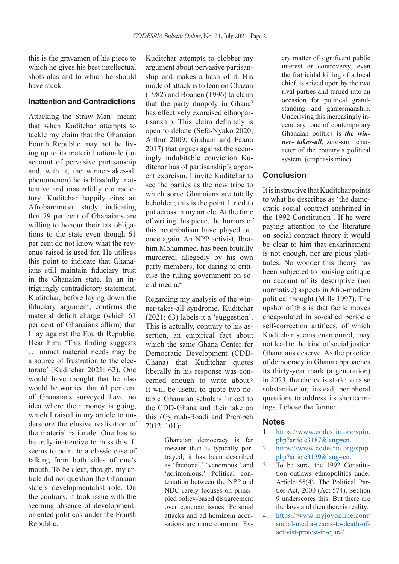this is the gravamen of his piece to which he gives his best intellectual shots alas and to which he should have stuck.

#### **Inattention and Contradictions**

Attacking the Straw Man meant that when Kuditchar attempts to tackle my claim that the Ghanaian Fourth Republic may not be living up to its material rationale (on account of pervasive partisanship and, with it, the winner-takes-all phenomenon) he is blissfully inattentive and masterfully contradictory. Kuditchar happily cites an Afrobarometer study indicating that 79 per cent of Ghanaians are willing to honour their tax obligations to the state even though 61 per cent do not know what the revenue raised is used for. He utilises this point to indicate that Ghanaians still maintain fiduciary trust in the Ghanaian state. In an intriguingly contradictory statement, Kuditchar, before laying down the fiduciary argument, confirms the material deficit charge (which 61 per cent of Ghanaians affirm) that I lay against the Fourth Republic. Hear him: 'This finding suggests … unmet material needs may be a source of frustration to the electorate' (Kuditchar 2021: 62). One would have thought that he also would be worried that 61 per cent of Ghanaians surveyed have no idea where their money is going, which I raised in my article to underscore the elusive realisation of the material rationale. One has to be truly inattentive to miss this. It seems to point to a classic case of talking from both sides of one's mouth. To be clear, though, my article did not question the Ghanaian state's developmentalist role. On the contrary, it took issue with the seeming absence of developmentoriented politicos under the Fourth Republic.

Kuditchar attempts to clobber my argument about pervasive partisanship and makes a hash of it. His mode of attack is to lean on Chazan (1982) and Boahen (1996) to claim that the party duopoly in Ghana<sup>3</sup> has effectively exorcised ethnopartisanship. This claim definitely is open to debate (Sefa-Nyako 2020; Arthur 2009; Graham and Faanu 2017) that argues against the seemingly indubitable conviction Kuditchar has of partisanship's apparent exorcism. I invite Kuditchar to see the parties as the new tribe to which some Ghanaians are totally beholden; this is the point I tried to put across in my article. At the time of writing this piece, the horrors of this neotribalism have played out once again. An NPP activist, Ibrahim Mohammed, has been brutally murdered, allegedly by his own party members, for daring to criticise the ruling government on social media.4

Regarding my analysis of the winner-takes-all syndrome, Kuditchar (2021: 63) labels it a 'suggestion'. This is actually, contrary to his assertion, an empirical fact about which the same Ghana Center for Democratic Development (CDD-Ghana) that Kuditchar quotes liberally in his response was concerned enough to write about.<sup>5</sup> It will be useful to quote two notable Ghanaian scholars linked to the CDD-Ghana and their take on this (Gyimah-Boadi and Prempeh 2012: 101):

> Ghanaian democracy is far messier than is typically portrayed; it has been described as 'factional,' 'venomous,' and 'acrimonious.' Political contestation between the NPP and NDC rarely focuses on principled policy-based disagreement over concrete issues. Personal attacks and ad hominem accusations are more common. Ev

ery matter of significant public interest or controversy, even the fratricidal killing of a local chief, is seized upon by the two rival parties and turned into an occasion for political grandstanding and gamesmanship. Underlying this increasingly incendiary tone of contemporary Ghanaian politics is *the winner- takes-all*, zero-sum character of the country's political system. (emphasis mine)

### **Conclusion**

It is instructive that Kuditchar points to what he describes as 'the democratic social contract enshrined in the 1992 Constitution'. If he were paying attention to the literature on social contract theory it would be clear to him that enshrinement is not enough, nor are pious platitudes. No wonder this theory has been subjected to bruising critique on account of its descriptive (not normative) aspects in Afro-modern political thought (Mills 1997). The upshot of this is that facile moves encapsulated in so-called periodic self-correction artifices, of which Kuditchar seems enamoured, may not lead to the kind of social justice Ghanaians deserve. As the practice of democracy in Ghana approaches its thirty-year mark (a generation) in 2023, the choice is stark: to raise substantive or, instead, peripheral questions to address its shortcomings. I chose the former.

#### **Notes**

- 1. https://www.codesria.org/spip. php?article3187&lang=en.
- 2. https://www.codesria.org/spip. php?article3139&lang=en.
- 3. To be sure, the 1992 Constitution outlaws ethnopolitics under Article 55(4). The Political Parties Act, 2000 (Act 574), Section 9 underscores this. But there are the laws and then there is reality.
- 4. https://www.myjoyonline.com/ social-media-reacts-to-death-ofactivist-protest-in-ejura/